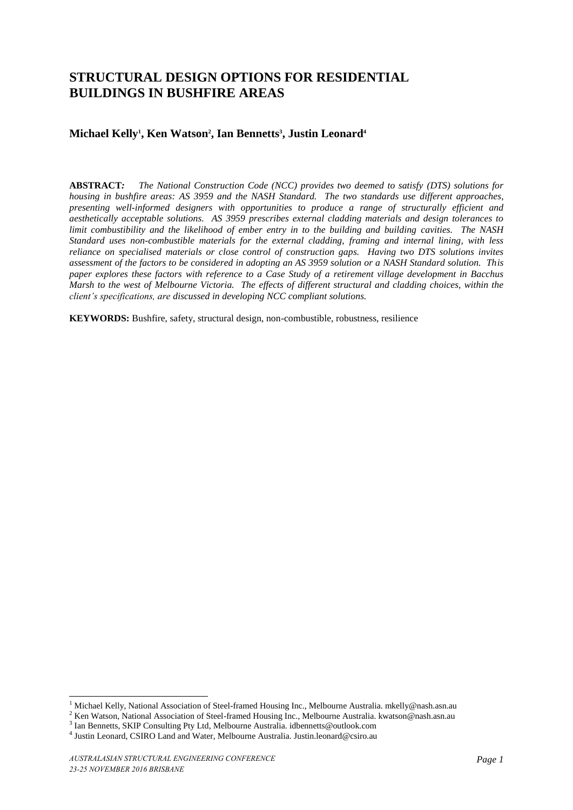# **STRUCTURAL DESIGN OPTIONS FOR RESIDENTIAL BUILDINGS IN BUSHFIRE AREAS**

# **Michael Kelly<sup>1</sup> , Ken Watson<sup>2</sup> , Ian Bennetts<sup>3</sup> , Justin Leonard<sup>4</sup>**

**ABSTRACT***: The National Construction Code (NCC) provides two deemed to satisfy (DTS) solutions for housing in bushfire areas: AS 3959 and the NASH Standard. The two standards use different approaches, presenting well-informed designers with opportunities to produce a range of structurally efficient and aesthetically acceptable solutions. AS 3959 prescribes external cladding materials and design tolerances to limit combustibility and the likelihood of ember entry in to the building and building cavities. The NASH Standard uses non-combustible materials for the external cladding, framing and internal lining, with less reliance on specialised materials or close control of construction gaps. Having two DTS solutions invites assessment of the factors to be considered in adopting an AS 3959 solution or a NASH Standard solution. This paper explores these factors with reference to a Case Study of a retirement village development in Bacchus Marsh to the west of Melbourne Victoria. The effects of different structural and cladding choices, within the client's specifications, are discussed in developing NCC compliant solutions.* 

**KEYWORDS:** Bushfire, safety, structural design, non-combustible, robustness, resilience

<sup>&</sup>lt;sup>1</sup> Michael Kelly, National Association of Steel-framed Housing Inc., Melbourne Australia. mkelly@nash.asn.au

<sup>&</sup>lt;sup>2</sup> Ken Watson, National Association of Steel-framed Housing Inc., Melbourne Australia. kwatson@nash.asn.au

<sup>&</sup>lt;sup>3</sup> Ian Bennetts, SKIP Consulting Pty Ltd, Melbourne Australia. idbennetts@outlook.com

<sup>4</sup> Justin Leonard, CSIRO Land and Water, Melbourne Australia. Justin.leonard@csiro.au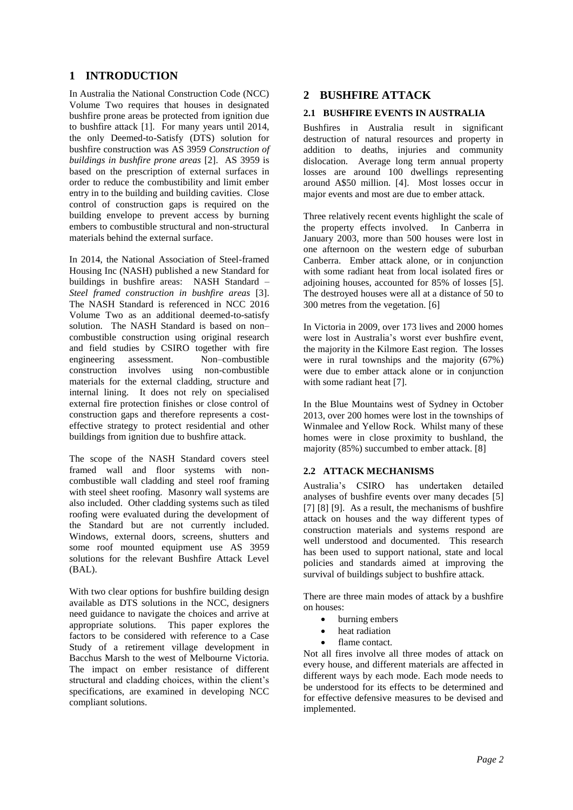# **1 INTRODUCTION**

In Australia the National Construction Code (NCC) Volume Two requires that houses in designated bushfire prone areas be protected from ignition due to bushfire attack [1]. For many years until 2014, the only Deemed-to-Satisfy (DTS) solution for bushfire construction was AS 3959 *Construction of buildings in bushfire prone areas* [2]. AS 3959 is based on the prescription of external surfaces in order to reduce the combustibility and limit ember entry in to the building and building cavities. Close control of construction gaps is required on the building envelope to prevent access by burning embers to combustible structural and non-structural materials behind the external surface.

In 2014, the National Association of Steel-framed Housing Inc (NASH) published a new Standard for buildings in bushfire areas: NASH Standard – *Steel framed construction in bushfire areas* [3]. The NASH Standard is referenced in NCC 2016 Volume Two as an additional deemed-to-satisfy solution. The NASH Standard is based on non– combustible construction using original research and field studies by CSIRO together with fire engineering assessment. Non–combustible construction involves using non-combustible materials for the external cladding, structure and internal lining. It does not rely on specialised external fire protection finishes or close control of construction gaps and therefore represents a costeffective strategy to protect residential and other buildings from ignition due to bushfire attack.

The scope of the NASH Standard covers steel framed wall and floor systems with noncombustible wall cladding and steel roof framing with steel sheet roofing. Masonry wall systems are also included. Other cladding systems such as tiled roofing were evaluated during the development of the Standard but are not currently included. Windows, external doors, screens, shutters and some roof mounted equipment use AS 3959 solutions for the relevant Bushfire Attack Level (BAL).

With two clear options for bushfire building design available as DTS solutions in the NCC, designers need guidance to navigate the choices and arrive at appropriate solutions. This paper explores the factors to be considered with reference to a Case Study of a retirement village development in Bacchus Marsh to the west of Melbourne Victoria. The impact on ember resistance of different structural and cladding choices, within the client's specifications, are examined in developing NCC compliant solutions.

# **2 BUSHFIRE ATTACK**

#### **2.1 BUSHFIRE EVENTS IN AUSTRALIA**

Bushfires in Australia result in significant destruction of natural resources and property in addition to deaths, injuries and community dislocation. Average long term annual property losses are around 100 dwellings representing around A\$50 million. [4]. Most losses occur in major events and most are due to ember attack.

Three relatively recent events highlight the scale of the property effects involved. In Canberra in January 2003, more than 500 houses were lost in one afternoon on the western edge of suburban Canberra. Ember attack alone, or in conjunction with some radiant heat from local isolated fires or adioining houses, accounted for 85% of losses [5]. The destroyed houses were all at a distance of 50 to 300 metres from the vegetation. [6]

In Victoria in 2009, over 173 lives and 2000 homes were lost in Australia's worst ever bushfire event, the majority in the Kilmore East region. The losses were in rural townships and the majority (67%) were due to ember attack alone or in conjunction with some radiant heat [7].

In the Blue Mountains west of Sydney in October 2013, over 200 homes were lost in the townships of Winmalee and Yellow Rock. Whilst many of these homes were in close proximity to bushland, the majority (85%) succumbed to ember attack. [8]

#### **2.2 ATTACK MECHANISMS**

Australia's CSIRO has undertaken detailed analyses of bushfire events over many decades [5] [7] [8] [9]. As a result, the mechanisms of bushfire attack on houses and the way different types of construction materials and systems respond are well understood and documented. This research has been used to support national, state and local policies and standards aimed at improving the survival of buildings subject to bushfire attack.

There are three main modes of attack by a bushfire on houses:

- burning embers
- heat radiation
- flame contact.

Not all fires involve all three modes of attack on every house, and different materials are affected in different ways by each mode. Each mode needs to be understood for its effects to be determined and for effective defensive measures to be devised and implemented.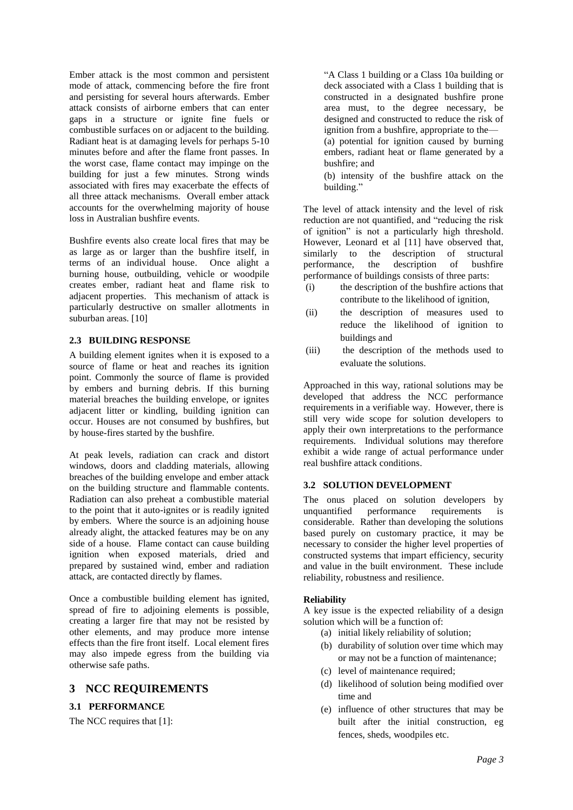Ember attack is the most common and persistent mode of attack, commencing before the fire front and persisting for several hours afterwards. Ember attack consists of airborne embers that can enter gaps in a structure or ignite fine fuels or combustible surfaces on or adjacent to the building. Radiant heat is at damaging levels for perhaps 5-10 minutes before and after the flame front passes. In the worst case, flame contact may impinge on the building for just a few minutes. Strong winds associated with fires may exacerbate the effects of all three attack mechanisms. Overall ember attack accounts for the overwhelming majority of house loss in Australian bushfire events.

Bushfire events also create local fires that may be as large as or larger than the bushfire itself, in terms of an individual house. Once alight a burning house, outbuilding, vehicle or woodpile creates ember, radiant heat and flame risk to adjacent properties. This mechanism of attack is particularly destructive on smaller allotments in suburban areas. [10]

#### **2.3 BUILDING RESPONSE**

A building element ignites when it is exposed to a source of flame or heat and reaches its ignition point. Commonly the source of flame is provided by embers and burning debris. If this burning material breaches the building envelope, or ignites adjacent litter or kindling, building ignition can occur. Houses are not consumed by bushfires, but by house-fires started by the bushfire.

At peak levels, radiation can crack and distort windows, doors and cladding materials, allowing breaches of the building envelope and ember attack on the building structure and flammable contents. Radiation can also preheat a combustible material to the point that it auto-ignites or is readily ignited by embers. Where the source is an adjoining house already alight, the attacked features may be on any side of a house. Flame contact can cause building ignition when exposed materials, dried and prepared by sustained wind, ember and radiation attack, are contacted directly by flames.

Once a combustible building element has ignited, spread of fire to adjoining elements is possible, creating a larger fire that may not be resisted by other elements, and may produce more intense effects than the fire front itself. Local element fires may also impede egress from the building via otherwise safe paths.

## **3 NCC REQUIREMENTS**

#### **3.1 PERFORMANCE**

The NCC requires that [1]:

―A Class 1 building or a Class 10a building or deck associated with a Class 1 building that is constructed in a designated bushfire prone area must, to the degree necessary, be designed and constructed to reduce the risk of ignition from a bushfire, appropriate to the— (a) potential for ignition caused by burning embers, radiant heat or flame generated by a bushfire; and

(b) intensity of the bushfire attack on the building."

The level of attack intensity and the level of risk reduction are not quantified, and "reducing the risk of ignition" is not a particularly high threshold. However, Leonard et al [11] have observed that, similarly to the description of structural performance, the description of bushfire performance of buildings consists of three parts:

- (i) the description of the bushfire actions that contribute to the likelihood of ignition,
- (ii) the description of measures used to reduce the likelihood of ignition to buildings and
- (iii) the description of the methods used to evaluate the solutions.

Approached in this way, rational solutions may be developed that address the NCC performance requirements in a verifiable way. However, there is still very wide scope for solution developers to apply their own interpretations to the performance requirements. Individual solutions may therefore exhibit a wide range of actual performance under real bushfire attack conditions.

#### **3.2 SOLUTION DEVELOPMENT**

The onus placed on solution developers by unquantified performance requirements is considerable. Rather than developing the solutions based purely on customary practice, it may be necessary to consider the higher level properties of constructed systems that impart efficiency, security and value in the built environment. These include reliability, robustness and resilience.

#### **Reliability**

A key issue is the expected reliability of a design solution which will be a function of:

- (a) initial likely reliability of solution;
- (b) durability of solution over time which may or may not be a function of maintenance;
- (c) level of maintenance required;
- (d) likelihood of solution being modified over time and
- (e) influence of other structures that may be built after the initial construction, eg fences, sheds, woodpiles etc.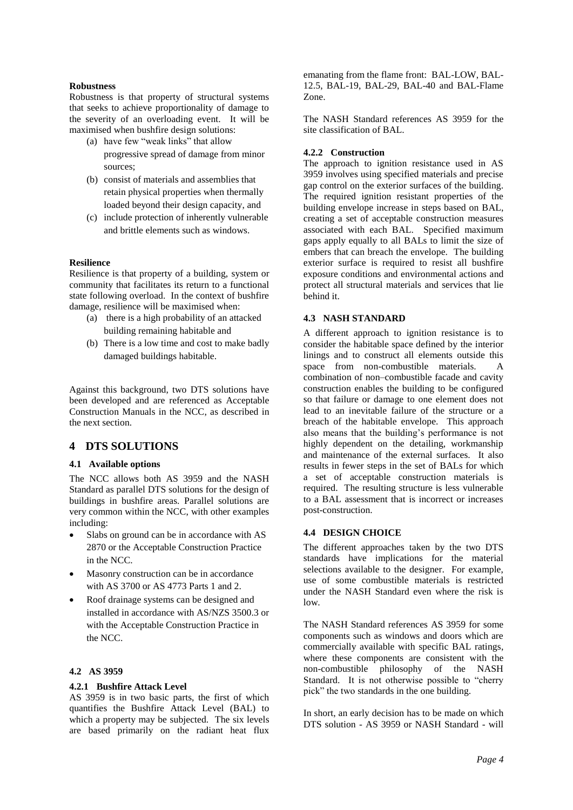#### **Robustness**

Robustness is that property of structural systems that seeks to achieve proportionality of damage to the severity of an overloading event. It will be maximised when bushfire design solutions:

- (a) have few "weak links" that allow progressive spread of damage from minor sources;
- (b) consist of materials and assemblies that retain physical properties when thermally loaded beyond their design capacity, and
- (c) include protection of inherently vulnerable and brittle elements such as windows.

#### **Resilience**

Resilience is that property of a building, system or community that facilitates its return to a functional state following overload. In the context of bushfire damage, resilience will be maximised when:

- (a) there is a high probability of an attacked building remaining habitable and
- (b) There is a low time and cost to make badly damaged buildings habitable.

Against this background, two DTS solutions have been developed and are referenced as Acceptable Construction Manuals in the NCC, as described in the next section.

## **4 DTS SOLUTIONS**

#### **4.1 Available options**

The NCC allows both AS 3959 and the NASH Standard as parallel DTS solutions for the design of buildings in bushfire areas. Parallel solutions are very common within the NCC, with other examples including:

- Slabs on ground can be in accordance with AS 2870 or the Acceptable Construction Practice in the NCC.
- Masonry construction can be in accordance with AS 3700 or AS 4773 Parts 1 and 2.
- Roof drainage systems can be designed and installed in accordance with AS/NZS 3500.3 or with the Acceptable Construction Practice in the NCC.

#### **4.2 AS 3959**

#### **4.2.1 Bushfire Attack Level**

AS 3959 is in two basic parts, the first of which quantifies the Bushfire Attack Level (BAL) to which a property may be subjected. The six levels are based primarily on the radiant heat flux emanating from the flame front: BAL-LOW, BAL-12.5, BAL-19, BAL-29, BAL-40 and BAL-Flame Zone.

The NASH Standard references AS 3959 for the site classification of BAL.

#### **4.2.2 Construction**

The approach to ignition resistance used in AS 3959 involves using specified materials and precise gap control on the exterior surfaces of the building. The required ignition resistant properties of the building envelope increase in steps based on BAL, creating a set of acceptable construction measures associated with each BAL. Specified maximum gaps apply equally to all BALs to limit the size of embers that can breach the envelope. The building exterior surface is required to resist all bushfire exposure conditions and environmental actions and protect all structural materials and services that lie behind it.

#### **4.3 NASH STANDARD**

A different approach to ignition resistance is to consider the habitable space defined by the interior linings and to construct all elements outside this space from non-combustible materials. A combination of non–combustible facade and cavity construction enables the building to be configured so that failure or damage to one element does not lead to an inevitable failure of the structure or a breach of the habitable envelope. This approach also means that the building's performance is not highly dependent on the detailing, workmanship and maintenance of the external surfaces. It also results in fewer steps in the set of BALs for which a set of acceptable construction materials is required. The resulting structure is less vulnerable to a BAL assessment that is incorrect or increases post-construction.

#### **4.4 DESIGN CHOICE**

The different approaches taken by the two DTS standards have implications for the material selections available to the designer. For example, use of some combustible materials is restricted under the NASH Standard even where the risk is low.

The NASH Standard references AS 3959 for some components such as windows and doors which are commercially available with specific BAL ratings, where these components are consistent with the non-combustible philosophy of the NASH Standard. It is not otherwise possible to "cherry" pick" the two standards in the one building.

In short, an early decision has to be made on which DTS solution - AS 3959 or NASH Standard - will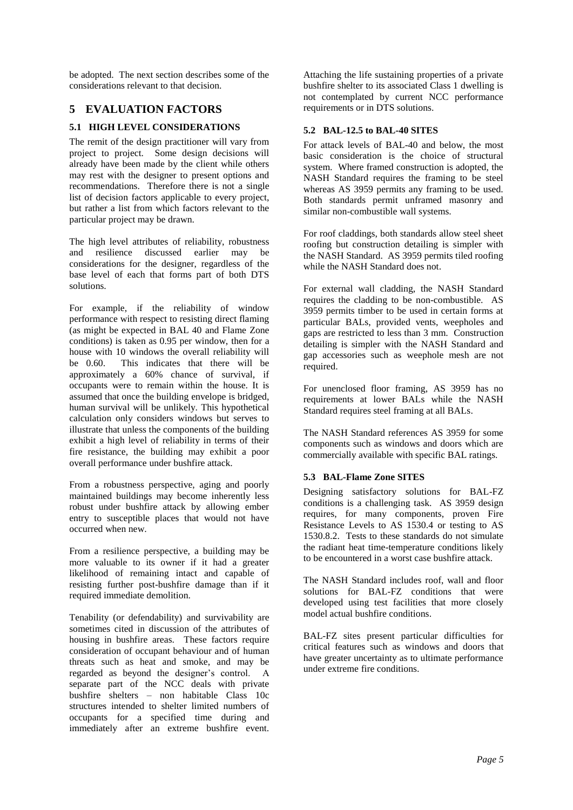be adopted. The next section describes some of the considerations relevant to that decision.

### **5 EVALUATION FACTORS**

#### **5.1 HIGH LEVEL CONSIDERATIONS**

The remit of the design practitioner will vary from project to project. Some design decisions will already have been made by the client while others may rest with the designer to present options and recommendations. Therefore there is not a single list of decision factors applicable to every project, but rather a list from which factors relevant to the particular project may be drawn.

The high level attributes of reliability, robustness and resilience discussed earlier may be considerations for the designer, regardless of the base level of each that forms part of both DTS solutions.

For example, if the reliability of window performance with respect to resisting direct flaming (as might be expected in BAL 40 and Flame Zone conditions) is taken as 0.95 per window, then for a house with 10 windows the overall reliability will be 0.60. This indicates that there will be approximately a 60% chance of survival, if occupants were to remain within the house. It is assumed that once the building envelope is bridged, human survival will be unlikely. This hypothetical calculation only considers windows but serves to illustrate that unless the components of the building exhibit a high level of reliability in terms of their fire resistance, the building may exhibit a poor overall performance under bushfire attack.

From a robustness perspective, aging and poorly maintained buildings may become inherently less robust under bushfire attack by allowing ember entry to susceptible places that would not have occurred when new.

From a resilience perspective, a building may be more valuable to its owner if it had a greater likelihood of remaining intact and capable of resisting further post-bushfire damage than if it required immediate demolition.

Tenability (or defendability) and survivability are sometimes cited in discussion of the attributes of housing in bushfire areas. These factors require consideration of occupant behaviour and of human threats such as heat and smoke, and may be regarded as beyond the designer's control. A separate part of the NCC deals with private bushfire shelters – non habitable Class 10c structures intended to shelter limited numbers of occupants for a specified time during and immediately after an extreme bushfire event.

Attaching the life sustaining properties of a private bushfire shelter to its associated Class 1 dwelling is not contemplated by current NCC performance requirements or in DTS solutions.

#### **5.2 BAL-12.5 to BAL-40 SITES**

For attack levels of BAL-40 and below, the most basic consideration is the choice of structural system. Where framed construction is adopted, the NASH Standard requires the framing to be steel whereas AS 3959 permits any framing to be used. Both standards permit unframed masonry and similar non-combustible wall systems.

For roof claddings, both standards allow steel sheet roofing but construction detailing is simpler with the NASH Standard. AS 3959 permits tiled roofing while the NASH Standard does not.

For external wall cladding, the NASH Standard requires the cladding to be non-combustible. AS 3959 permits timber to be used in certain forms at particular BALs, provided vents, weepholes and gaps are restricted to less than 3 mm. Construction detailing is simpler with the NASH Standard and gap accessories such as weephole mesh are not required.

For unenclosed floor framing, AS 3959 has no requirements at lower BALs while the NASH Standard requires steel framing at all BALs.

The NASH Standard references AS 3959 for some components such as windows and doors which are commercially available with specific BAL ratings.

#### **5.3 BAL-Flame Zone SITES**

Designing satisfactory solutions for BAL-FZ conditions is a challenging task. AS 3959 design requires, for many components, proven Fire Resistance Levels to AS 1530.4 or testing to AS 1530.8.2. Tests to these standards do not simulate the radiant heat time-temperature conditions likely to be encountered in a worst case bushfire attack.

The NASH Standard includes roof, wall and floor solutions for BAL-FZ conditions that were developed using test facilities that more closely model actual bushfire conditions.

BAL-FZ sites present particular difficulties for critical features such as windows and doors that have greater uncertainty as to ultimate performance under extreme fire conditions.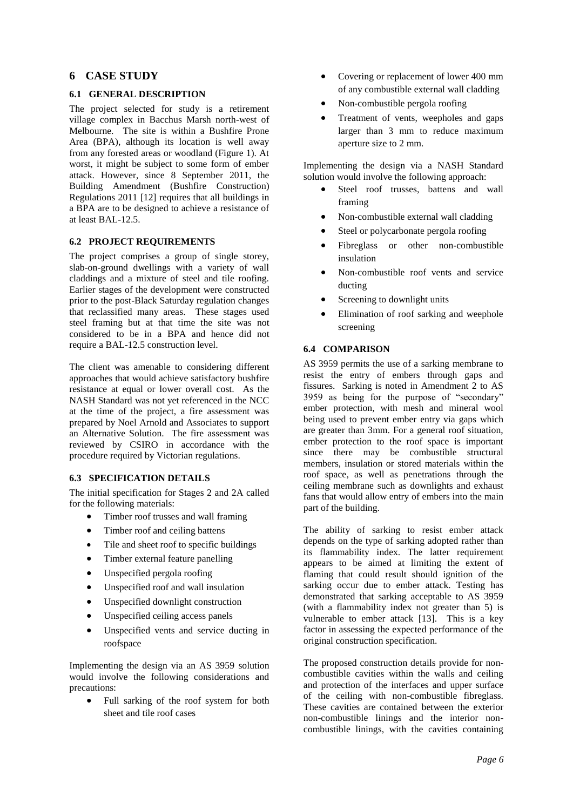#### **6 CASE STUDY**

#### **6.1 GENERAL DESCRIPTION**

The project selected for study is a retirement village complex in Bacchus Marsh north-west of Melbourne. The site is within a Bushfire Prone Area (BPA), although its location is well away from any forested areas or woodland (Figure 1). At worst, it might be subject to some form of ember attack. However, since 8 September 2011, the Building Amendment (Bushfire Construction) Regulations 2011 [12] requires that all buildings in a BPA are to be designed to achieve a resistance of at least BAL-12.5.

#### **6.2 PROJECT REQUIREMENTS**

The project comprises a group of single storey, slab-on-ground dwellings with a variety of wall claddings and a mixture of steel and tile roofing. Earlier stages of the development were constructed prior to the post-Black Saturday regulation changes that reclassified many areas. These stages used steel framing but at that time the site was not considered to be in a BPA and hence did not require a BAL-12.5 construction level.

The client was amenable to considering different approaches that would achieve satisfactory bushfire resistance at equal or lower overall cost. As the NASH Standard was not yet referenced in the NCC at the time of the project, a fire assessment was prepared by Noel Arnold and Associates to support an Alternative Solution. The fire assessment was reviewed by CSIRO in accordance with the procedure required by Victorian regulations.

#### **6.3 SPECIFICATION DETAILS**

The initial specification for Stages 2 and 2A called for the following materials:

- Timber roof trusses and wall framing
- Timber roof and ceiling battens
- Tile and sheet roof to specific buildings
- Timber external feature panelling
- Unspecified pergola roofing
- Unspecified roof and wall insulation
- Unspecified downlight construction
- Unspecified ceiling access panels
- Unspecified vents and service ducting in roofspace

Implementing the design via an AS 3959 solution would involve the following considerations and precautions:

 Full sarking of the roof system for both sheet and tile roof cases

- Covering or replacement of lower 400 mm of any combustible external wall cladding
- Non-combustible pergola roofing
- Treatment of vents, weepholes and gaps larger than 3 mm to reduce maximum aperture size to 2 mm.

Implementing the design via a NASH Standard solution would involve the following approach:

- Steel roof trusses, battens and wall framing
- Non-combustible external wall cladding
- Steel or polycarbonate pergola roofing
- Fibreglass or other non-combustible insulation
- Non-combustible roof vents and service ducting
- Screening to downlight units
- Elimination of roof sarking and weephole screening

#### **6.4 COMPARISON**

AS 3959 permits the use of a sarking membrane to resist the entry of embers through gaps and fissures. Sarking is noted in Amendment 2 to AS 3959 as being for the purpose of "secondary" ember protection, with mesh and mineral wool being used to prevent ember entry via gaps which are greater than 3mm. For a general roof situation, ember protection to the roof space is important since there may be combustible structural members, insulation or stored materials within the roof space, as well as penetrations through the ceiling membrane such as downlights and exhaust fans that would allow entry of embers into the main part of the building.

The ability of sarking to resist ember attack depends on the type of sarking adopted rather than its flammability index. The latter requirement appears to be aimed at limiting the extent of flaming that could result should ignition of the sarking occur due to ember attack. Testing has demonstrated that sarking acceptable to AS 3959 (with a flammability index not greater than 5) is vulnerable to ember attack [13]. This is a key factor in assessing the expected performance of the original construction specification.

The proposed construction details provide for noncombustible cavities within the walls and ceiling and protection of the interfaces and upper surface of the ceiling with non-combustible fibreglass. These cavities are contained between the exterior non-combustible linings and the interior noncombustible linings, with the cavities containing